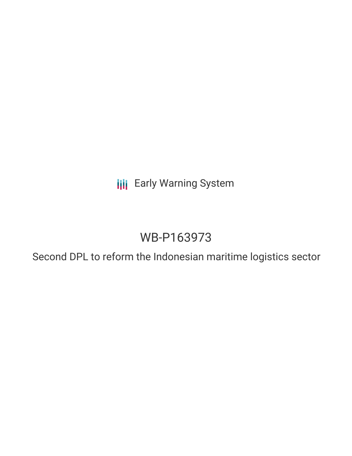**III** Early Warning System

## WB-P163973

Second DPL to reform the Indonesian maritime logistics sector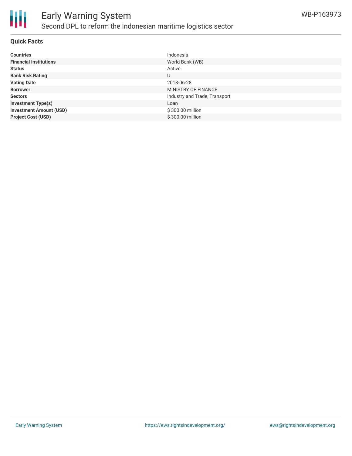

#### **Quick Facts**

| <b>Countries</b>               | Indonesia                     |
|--------------------------------|-------------------------------|
| <b>Financial Institutions</b>  | World Bank (WB)               |
| <b>Status</b>                  | Active                        |
| <b>Bank Risk Rating</b>        | U                             |
| <b>Voting Date</b>             | 2018-06-28                    |
| <b>Borrower</b>                | MINISTRY OF FINANCE           |
| <b>Sectors</b>                 | Industry and Trade, Transport |
| <b>Investment Type(s)</b>      | Loan                          |
| <b>Investment Amount (USD)</b> | \$300.00 million              |
| <b>Project Cost (USD)</b>      | \$300.00 million              |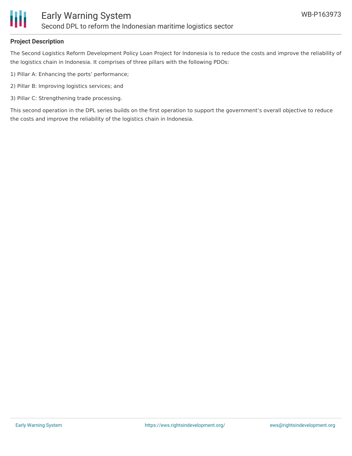

#### **Project Description**

The Second Logistics Reform Development Policy Loan Project for Indonesia is to reduce the costs and improve the reliability of the logistics chain in Indonesia. It comprises of three pillars with the following PDOs:

- 1) Pillar A: Enhancing the ports' performance;
- 2) Pillar B: Improving logistics services; and
- 3) Pillar C: Strengthening trade processing.

This second operation in the DPL series builds on the first operation to support the government's overall objective to reduce the costs and improve the reliability of the logistics chain in Indonesia.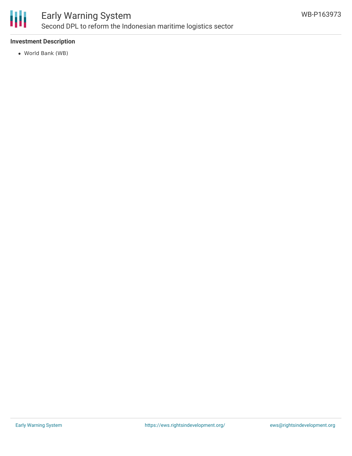

## Early Warning System Second DPL to reform the Indonesian maritime logistics sector

#### **Investment Description**

World Bank (WB)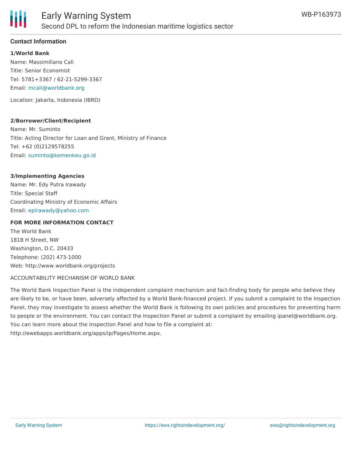

#### **Contact Information**

**1/World Bank** Name: Massimiliano Calì Title: Senior Economist Tel: 5781+3367 / 62-21-5299-3367 Email: [mcali@worldbank.org](mailto:mcali@worldbank.org)

Location: Jakarta, Indonesia (IBRD)

#### **2/Borrower/Client/Recipient**

Name: Mr. Suminto Title: Acting Director for Loan and Grant, Ministry of Finance Tel: +62 (0)2129578255 Email: [suminto@kemenkeu.go.id](mailto:suminto@kemenkeu.go.id)

#### **3/Implementing Agencies**

Name: Mr. Edy Putra Irawady Title: Special Staff Coordinating Ministry of Economic Affairs Email: [epirawady@yahoo.com](mailto:epirawady@yahoo.com)

#### **FOR MORE INFORMATION CONTACT**

The World Bank 1818 H Street, NW Washington, D.C. 20433 Telephone: (202) 473-1000 Web: http://www.worldbank.org/projects

#### ACCOUNTABILITY MECHANISM OF WORLD BANK

The World Bank Inspection Panel is the independent complaint mechanism and fact-finding body for people who believe they are likely to be, or have been, adversely affected by a World Bank-financed project. If you submit a complaint to the Inspection Panel, they may investigate to assess whether the World Bank is following its own policies and procedures for preventing harm to people or the environment. You can contact the Inspection Panel or submit a complaint by emailing ipanel@worldbank.org. You can learn more about the Inspection Panel and how to file a complaint at: http://ewebapps.worldbank.org/apps/ip/Pages/Home.aspx.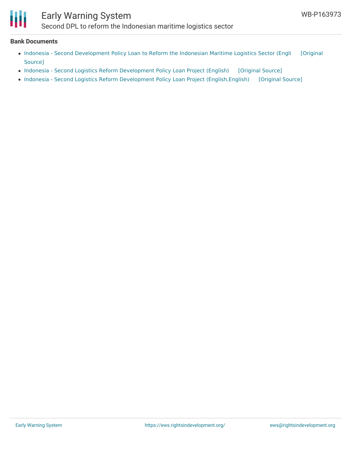# Ш

## Early Warning System

Second DPL to reform the Indonesian maritime logistics sector

#### **Bank Documents**

- Indonesia Second [Development](https://ewsdata.rightsindevelopment.org/files/documents/73/WB-P163973_lxneCHn.pdf) Policy Loan to Reform the Indonesian Maritime Logistics Sector (Engli [Original Source]
- Indonesia Second Logistics Reform [Development](https://ewsdata.rightsindevelopment.org/files/documents/73/WB-P163973.pdf) Policy Loan Project (English) [\[Original](http://documents.worldbank.org/curated/en/358861531399807986/pdf/128183-PGD-P163973-R2018-0134-1-PUBLIC-6-28-18.pdf) Source]
- Indonesia Second Logistics Reform Development Policy Loan Project (English, English) [\[Original](http://documents.worldbank.org/curated/en/907731517240883611/pdf/123028-PGID-P163973-PUBLIC.pdf) Source]